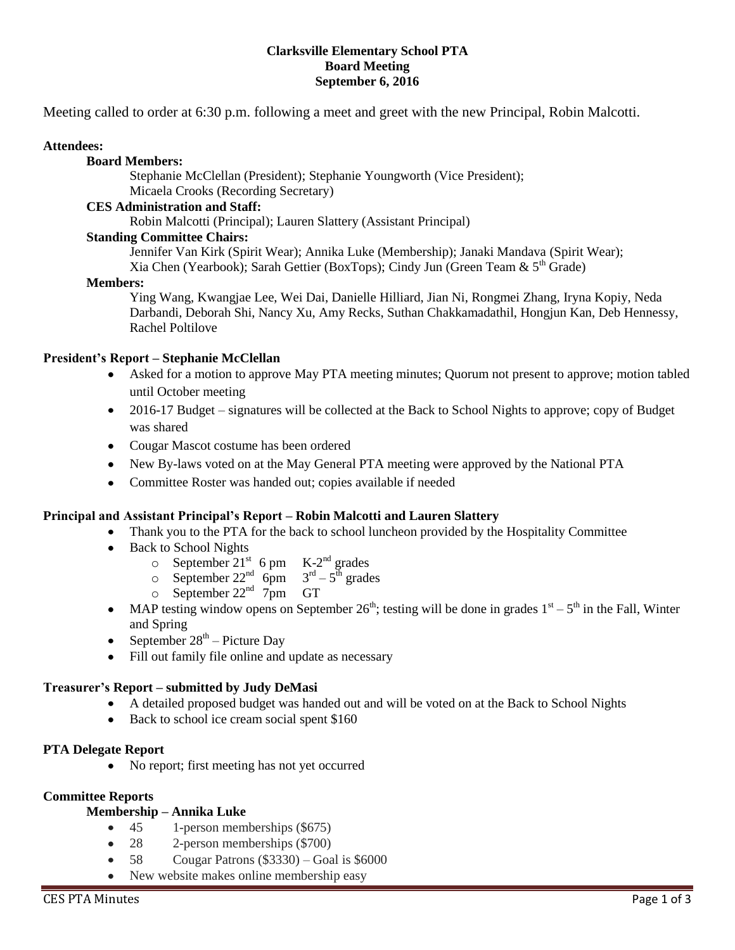#### **Clarksville Elementary School PTA Board Meeting September 6, 2016**

Meeting called to order at 6:30 p.m. following a meet and greet with the new Principal, Robin Malcotti.

#### **Attendees:**

#### **Board Members:**

Stephanie McClellan (President); Stephanie Youngworth (Vice President); Micaela Crooks (Recording Secretary)

#### **CES Administration and Staff:**

Robin Malcotti (Principal); Lauren Slattery (Assistant Principal)

#### **Standing Committee Chairs:**

Jennifer Van Kirk (Spirit Wear); Annika Luke (Membership); Janaki Mandava (Spirit Wear); Xia Chen (Yearbook); Sarah Gettier (BoxTops); Cindy Jun (Green Team &  $5<sup>th</sup>$  Grade)

#### **Members:**

Ying Wang, Kwangjae Lee, Wei Dai, Danielle Hilliard, Jian Ni, Rongmei Zhang, Iryna Kopiy, Neda Darbandi, Deborah Shi, Nancy Xu, Amy Recks, Suthan Chakkamadathil, Hongjun Kan, Deb Hennessy, Rachel Poltilove

#### **President's Report – Stephanie McClellan**

- $\bullet$ Asked for a motion to approve May PTA meeting minutes; Quorum not present to approve; motion tabled until October meeting
- 2016-17 Budget signatures will be collected at the Back to School Nights to approve; copy of Budget was shared
- Cougar Mascot costume has been ordered
- New By-laws voted on at the May General PTA meeting were approved by the National PTA
- Committee Roster was handed out; copies available if needed

#### **Principal and Assistant Principal's Report – Robin Malcotti and Lauren Slattery**

- Thank you to the PTA for the back to school luncheon provided by the Hospitality Committee
- Back to School Nights
	- $\circ$  September 21<sup>st</sup> 6 pm K-2<sup>nd</sup> grades
	- $\circ$  September 22<sup>nd</sup> 6pm  $3^{\text{rd}} 5^{\text{th}}$  grades
	- $\circ$  September 22<sup>nd</sup> 7pm GT
- MAP testing window opens on September  $26<sup>th</sup>$ ; testing will be done in grades  $1<sup>st</sup> 5<sup>th</sup>$  in the Fall, Winter and Spring
- September  $28<sup>th</sup>$  Picture Day
- Fill out family file online and update as necessary

#### **Treasurer's Report – submitted by Judy DeMasi**

- A detailed proposed budget was handed out and will be voted on at the Back to School Nights
- Back to school ice cream social spent \$160

#### **PTA Delegate Report**

No report; first meeting has not yet occurred

#### **Committee Reports**

# **Membership – Annika Luke**

- 45 1-person memberships (\$675)  $\bullet$
- 28 2-person memberships (\$700)
- 58 Cougar Patrons (\$3330) Goal is \$6000
- New website makes online membership easy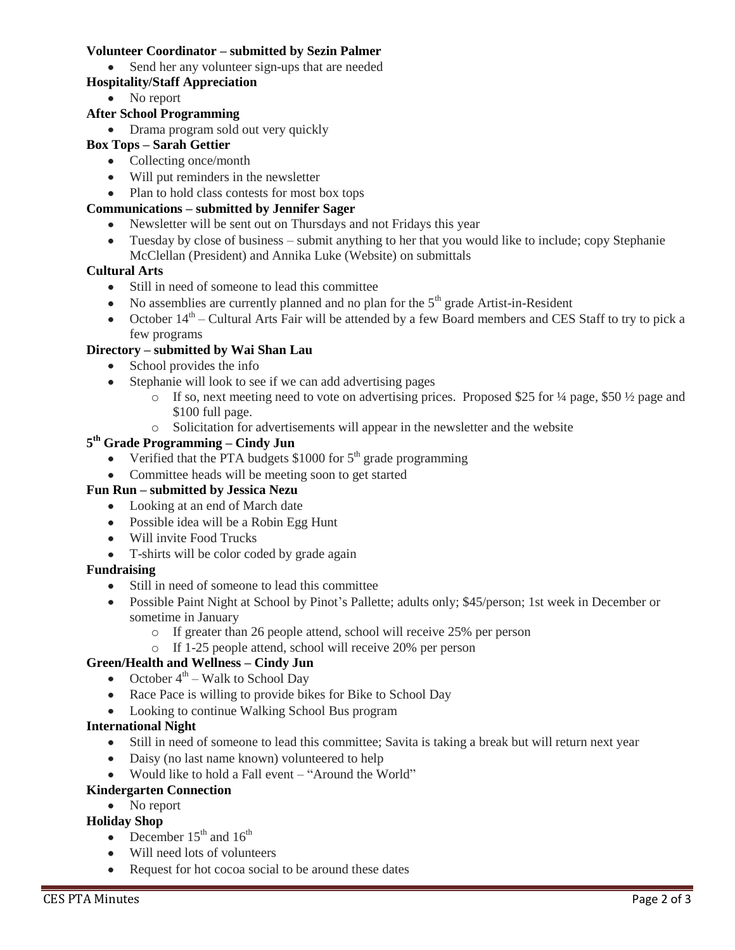#### **Volunteer Coordinator – submitted by Sezin Palmer**

• Send her any volunteer sign-ups that are needed

### **Hospitality/Staff Appreciation**

• No report

### **After School Programming**

• Drama program sold out very quickly

### **Box Tops – Sarah Gettier**

- Collecting once/month
- Will put reminders in the newsletter
- Plan to hold class contests for most box tops

### **Communications – submitted by Jennifer Sager**

- Newsletter will be sent out on Thursdays and not Fridays this year
- Tuesday by close of business submit anything to her that you would like to include; copy Stephanie McClellan (President) and Annika Luke (Website) on submittals

#### **Cultural Arts**

- Still in need of someone to lead this committee
- $\bullet$  No assemblies are currently planned and no plan for the  $5<sup>th</sup>$  grade Artist-in-Resident
- October  $14<sup>th</sup>$  Cultural Arts Fair will be attended by a few Board members and CES Staff to try to pick a few programs

### **Directory – submitted by Wai Shan Lau**

- School provides the info
- Stephanie will look to see if we can add advertising pages
	- $\circ$  If so, next meeting need to vote on advertising prices. Proposed \$25 for ¼ page, \$50 ½ page and \$100 full page.
	- o Solicitation for advertisements will appear in the newsletter and the website

#### **5 th Grade Programming – Cindy Jun**

- Verified that the PTA budgets  $$1000$  for  $5<sup>th</sup>$  grade programming
- Committee heads will be meeting soon to get started

### **Fun Run – submitted by Jessica Nezu**

- Looking at an end of March date
- Possible idea will be a Robin Egg Hunt
- Will invite Food Trucks
- T-shirts will be color coded by grade again

### **Fundraising**

- Still in need of someone to lead this committee
- Possible Paint Night at School by Pinot's Pallette; adults only; \$45/person; 1st week in December or sometime in January
	- o If greater than 26 people attend, school will receive 25% per person
	- o If 1-25 people attend, school will receive 20% per person

# **Green/Health and Wellness – Cindy Jun**

- October  $4^{\text{th}}$  Walk to School Day
- Race Pace is willing to provide bikes for Bike to School Day
- Looking to continue Walking School Bus program

#### **International Night**

- Still in need of someone to lead this committee; Savita is taking a break but will return next year
- Daisy (no last name known) volunteered to help
- Would like to hold a Fall event "Around the World"

### **Kindergarten Connection**

### • No report

### **Holiday Shop**

- December  $15<sup>th</sup>$  and  $16<sup>th</sup>$
- Will need lots of volunteers
- Request for hot cocoa social to be around these dates